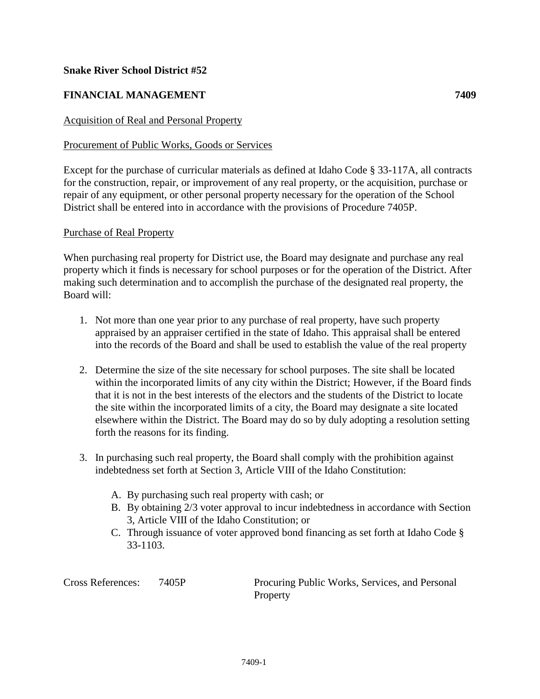## **Snake River School District #52**

# **FINANCIAL MANAGEMENT 7409**

## Acquisition of Real and Personal Property

### Procurement of Public Works, Goods or Services

Except for the purchase of curricular materials as defined at Idaho Code § 33-117A, all contracts for the construction, repair, or improvement of any real property, or the acquisition, purchase or repair of any equipment, or other personal property necessary for the operation of the School District shall be entered into in accordance with the provisions of Procedure 7405P.

#### Purchase of Real Property

When purchasing real property for District use, the Board may designate and purchase any real property which it finds is necessary for school purposes or for the operation of the District. After making such determination and to accomplish the purchase of the designated real property, the Board will:

- 1. Not more than one year prior to any purchase of real property, have such property appraised by an appraiser certified in the state of Idaho. This appraisal shall be entered into the records of the Board and shall be used to establish the value of the real property
- 2. Determine the size of the site necessary for school purposes. The site shall be located within the incorporated limits of any city within the District; However, if the Board finds that it is not in the best interests of the electors and the students of the District to locate the site within the incorporated limits of a city, the Board may designate a site located elsewhere within the District. The Board may do so by duly adopting a resolution setting forth the reasons for its finding.
- 3. In purchasing such real property, the Board shall comply with the prohibition against indebtedness set forth at Section 3, Article VIII of the Idaho Constitution:
	- A. By purchasing such real property with cash; or
	- B. By obtaining 2/3 voter approval to incur indebtedness in accordance with Section 3, Article VIII of the Idaho Constitution; or
	- C. Through issuance of voter approved bond financing as set forth at Idaho Code § 33-1103.

Cross References: 7405P Procuring Public Works, Services, and Personal Property